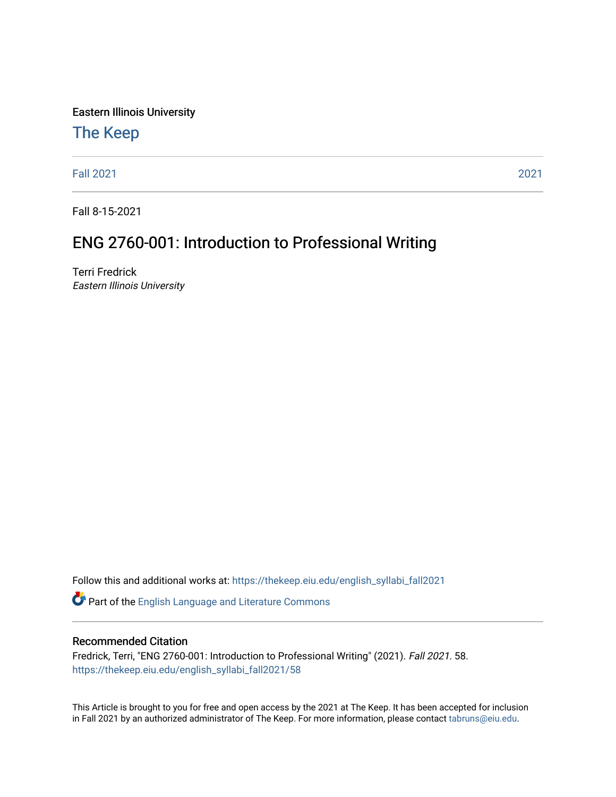Eastern Illinois University

## [The Keep](https://thekeep.eiu.edu/)

[Fall 2021](https://thekeep.eiu.edu/english_syllabi_fall2021) [2021](https://thekeep.eiu.edu/english_syllabi2021) 

Fall 8-15-2021

# ENG 2760-001: Introduction to Professional Writing

Terri Fredrick Eastern Illinois University

Follow this and additional works at: [https://thekeep.eiu.edu/english\\_syllabi\\_fall2021](https://thekeep.eiu.edu/english_syllabi_fall2021?utm_source=thekeep.eiu.edu%2Fenglish_syllabi_fall2021%2F58&utm_medium=PDF&utm_campaign=PDFCoverPages) 

Part of the [English Language and Literature Commons](http://network.bepress.com/hgg/discipline/455?utm_source=thekeep.eiu.edu%2Fenglish_syllabi_fall2021%2F58&utm_medium=PDF&utm_campaign=PDFCoverPages)

#### Recommended Citation

Fredrick, Terri, "ENG 2760-001: Introduction to Professional Writing" (2021). Fall 2021. 58. [https://thekeep.eiu.edu/english\\_syllabi\\_fall2021/58](https://thekeep.eiu.edu/english_syllabi_fall2021/58?utm_source=thekeep.eiu.edu%2Fenglish_syllabi_fall2021%2F58&utm_medium=PDF&utm_campaign=PDFCoverPages)

This Article is brought to you for free and open access by the 2021 at The Keep. It has been accepted for inclusion in Fall 2021 by an authorized administrator of The Keep. For more information, please contact [tabruns@eiu.edu](mailto:tabruns@eiu.edu).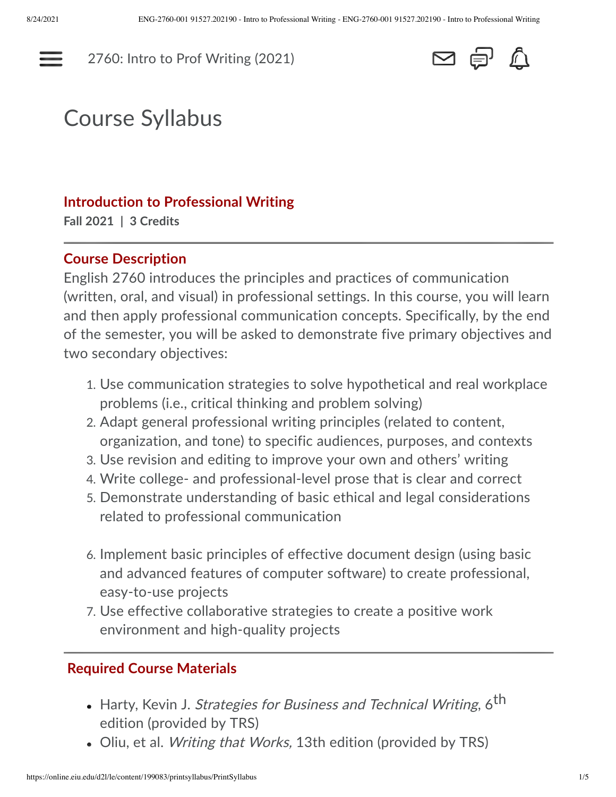---

[2760: Intro to Prof Writing \(2021\)](https://online.eiu.edu/d2l/home/199083)



# Course Syllabus

#### **Introduction to Professional Writing**

**Fall 2021 | 3 Credits**

#### **Course Description**

English 2760 introduces the principles and practices of communication (written, oral, and visual) in professional settings. In this course, you will learn and then apply professional communication concepts. Specifically, by the end of the semester, you will be asked to demonstrate five primary objectives and two secondary objectives:

- 1. Use communication strategies to solve hypothetical and real workplace problems (i.e., critical thinking and problem solving)
- 2. Adapt general professional writing principles (related to content, organization, and tone) to specific audiences, purposes, and contexts
- 3. Use revision and editing to improve your own and others' writing
- 4. Write college- and professional-level prose that is clear and correct
- 5. Demonstrate understanding of basic ethical and legal considerations related to professional communication
- 6. Implement basic principles of effective document design (using basic and advanced features of computer software) to create professional, easy-to-use projects
- 7. Use effective collaborative strategies to create a positive work environment and high-quality projects

#### **Required Course Materials**

- $\bullet\,$  Harty, Kevin J. *Strategies for Business and Technical Writing*, 6 $^{\text{th}}$ edition (provided by TRS)
- Oliu, et al. *Writing that Works,* 13th edition (provided by TRS)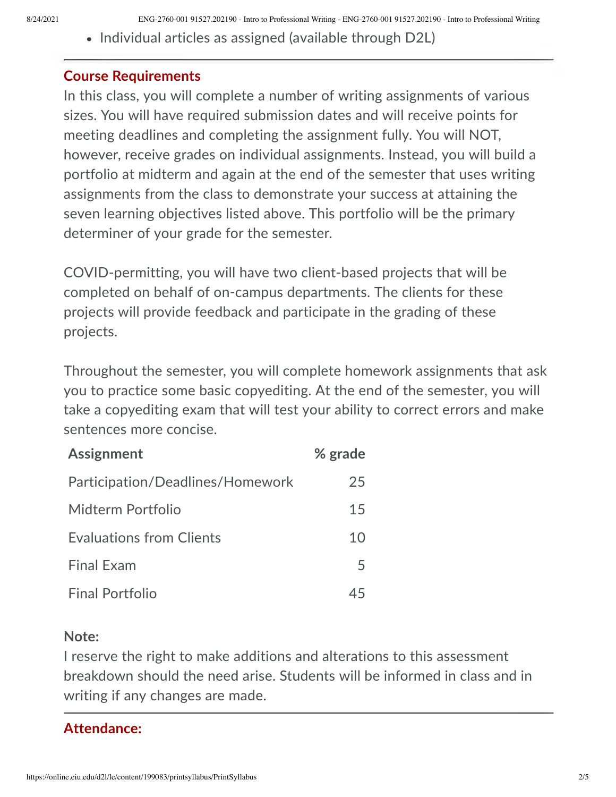• Individual articles as assigned (available through D2L)

#### **Course Requirements**

In this class, you will complete a number of writing assignments of various sizes. You will have required submission dates and will receive points for meeting deadlines and completing the assignment fully. You will NOT, however, receive grades on individual assignments. Instead, you will build a portfolio at midterm and again at the end of the semester that uses writing assignments from the class to demonstrate your success at attaining the seven learning objectives listed above. This portfolio will be the primary determiner of your grade for the semester.

COVID-permitting, you will have two client-based projects that will be completed on behalf of on-campus departments. The clients for these projects will provide feedback and participate in the grading of these projects.

Throughout the semester, you will complete homework assignments that ask you to practice some basic copyediting. At the end of the semester, you will take a copyediting exam that will test your ability to correct errors and make sentences more concise.

| <b>Assignment</b>                | % grade |
|----------------------------------|---------|
| Participation/Deadlines/Homework | 25      |
| Midterm Portfolio                | 15      |
| <b>Evaluations from Clients</b>  | 10      |
| <b>Final Exam</b>                | 5       |
| <b>Final Portfolio</b>           |         |

#### **Note:**

I reserve the right to make additions and alterations to this assessment breakdown should the need arise. Students will be informed in class and in writing if any changes are made.

#### **Attendance:**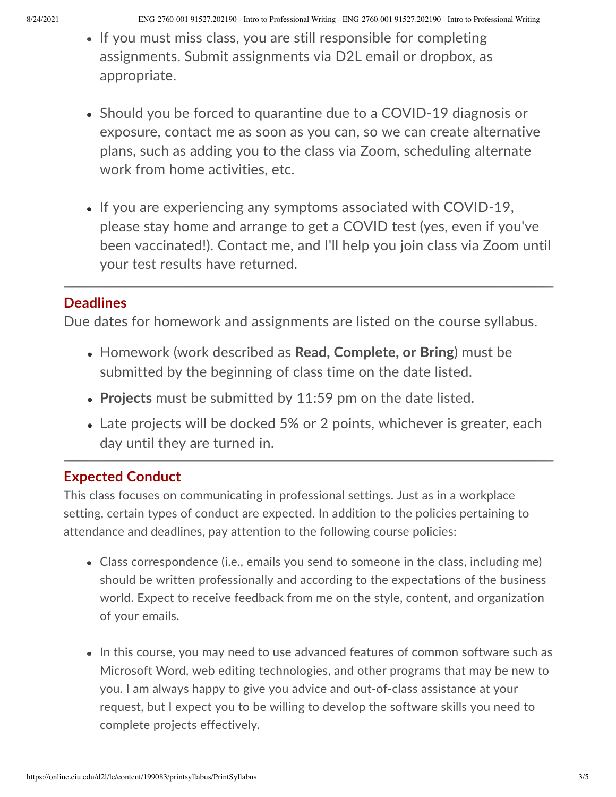8/24/2021 ENG-2760-001 91527.202190 - Intro to Professional Writing - ENG-2760-001 91527.202190 - Intro to Professional Writing

- If you must miss class, you are still responsible for completing assignments. Submit assignments via D2L email or dropbox, as appropriate.
- Should you be forced to quarantine due to a COVID-19 diagnosis or exposure, contact me as soon as you can, so we can create alternative plans, such as adding you to the class via Zoom, scheduling alternate work from home activities, etc.
- $\bullet$  If you are experiencing any symptoms associated with COVID-19, please stay home and arrange to get a COVID test (yes, even if you've been vaccinated!). Contact me, and I'll help you join class via Zoom until your test results have returned.

# **Deadlines**

Due dates for homework and assignments are listed on the course syllabus.

- Homework (work described as **Read, Complete, or Bring**) must be submitted by the beginning of class time on the date listed.
- **Projects** must be submitted by 11:59 pm on the date listed. •
- Late projects will be docked 5% or 2 points, whichever is greater, each day until they are turned in.

# **Expected Conduct**

This class focuses on communicating in professional settings. Just as in a workplace setting, certain types of conduct are expected. In addition to the policies pertaining to attendance and deadlines, pay attention to the following course policies:

- Class correspondence (i.e., emails you send to someone in the class, including me) should be written professionally and according to the expectations of the business world. Expect to receive feedback from me on the style, content, and organization of your emails.
- $\bullet$  In this course, you may need to use advanced features of common software such as Microsoft Word, web editing technologies, and other programs that may be new to you. I am always happy to give you advice and out-of-class assistance at your request, but I expect you to be willing to develop the software skills you need to complete projects effectively.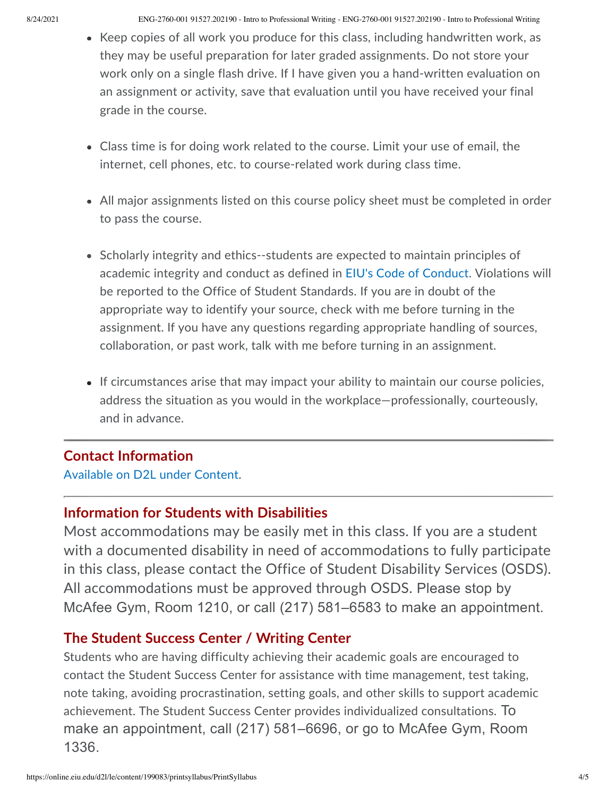- Keep copies of all work you produce for this class, including handwritten work, as they may be useful preparation for later graded assignments. Do not store your work only on a single flash drive. If I have given you a hand-written evaluation on an assignment or activity, save that evaluation until you have received your final grade in the course.
- Class time is for doing work related to the course. Limit your use of email, the internet, cell phones, etc. to course-related work during class time.
- All major assignments listed on this course policy sheet must be completed in order to pass the course.
- Scholarly integrity and ethics--students are expected to maintain principles of academic integrity and conduct as defined in [EIU's Code of Conduct](http://www.eiu.edu/judicial/studentconductcode.php). Violations will be reported to the Office of Student Standards. If you are in doubt of the appropriate way to identify your source, check with me before turning in the assignment. If you have any questions regarding appropriate handling of sources, collaboration, or past work, talk with me before turning in an assignment.
- If circumstances arise that may impact your ability to maintain our course policies, address the situation as you would in the workplace—professionally, courteously, and in advance.

## **Contact Information**

[Available on D2L under Content](https://online.eiu.edu/d2l/common/dialogs/quickLink/quickLink.d2l?ou=199083&type=content&rcode=EIU-1414412).

## **Information for Students with Disabilities**

Most accommodations may be easily met in this class. If you are a student with a documented disability in need of accommodations to fully participate in this class, please contact the Office of Student Disability Services (OSDS). All accommodations must be approved through OSDS. Please stop by McAfee Gym, Room 1210, or call (217) 581–6583 to make an appointment.

## **The Student Success Center / Writing Center**

Students who are having difficulty achieving their academic goals are encouraged to contact the Student Success Center for assistance with time management, test taking, note taking, avoiding procrastination, setting goals, and other skills to support academic achievement. The Student Success Center provides individualized consultations. To make an appointment, call (217) 581–6696, or go to McAfee Gym, Room 1336.